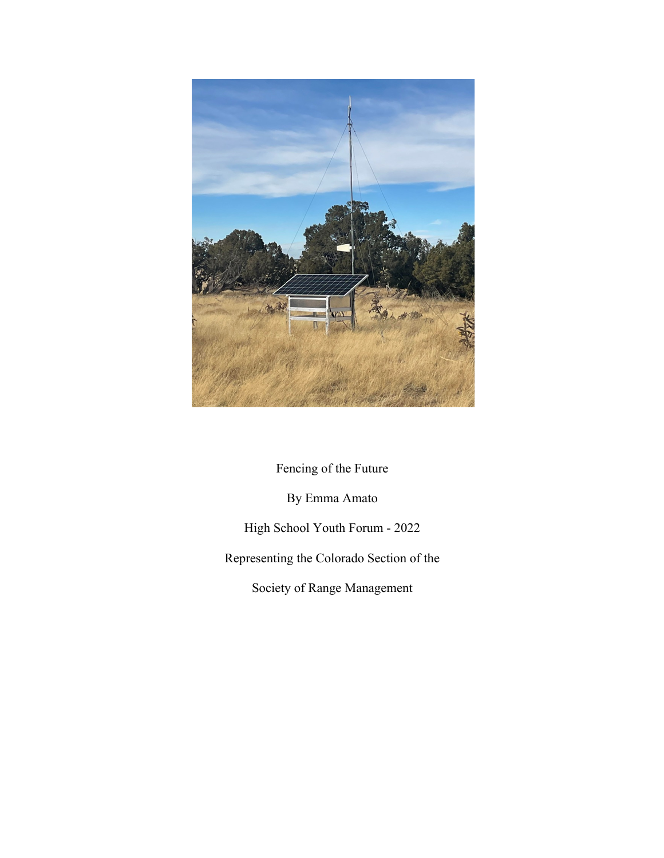

Fencing of the Future

By Emma Amato

High School Youth Forum - 2022

Representing the Colorado Section of the

Society of Range Management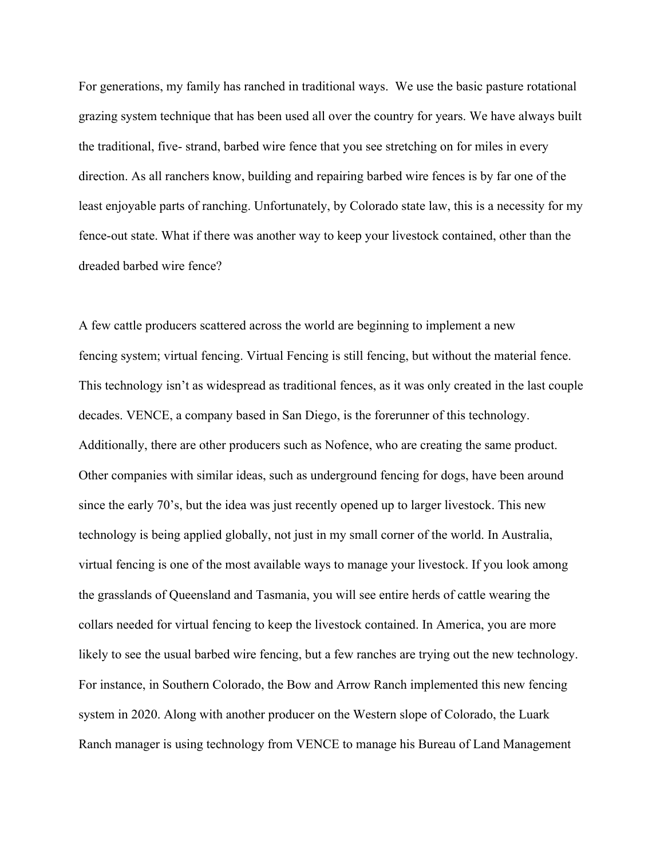For generations, my family has ranched in traditional ways. We use the basic pasture rotational grazing system technique that has been used all over the country for years. We have always built the traditional, five- strand, barbed wire fence that you see stretching on for miles in every direction. As all ranchers know, building and repairing barbed wire fences is by far one of the least enjoyable parts of ranching. Unfortunately, by Colorado state law, this is a necessity for my fence-out state. What if there was another way to keep your livestock contained, other than the dreaded barbed wire fence?

A few cattle producers scattered across the world are beginning to implement a new fencing system; virtual fencing. Virtual Fencing is still fencing, but without the material fence. This technology isn't as widespread as traditional fences, as it was only created in the last couple decades. VENCE, a company based in San Diego, is the forerunner of this technology. Additionally, there are other producers such as Nofence, who are creating the same product. Other companies with similar ideas, such as underground fencing for dogs, have been around since the early 70's, but the idea was just recently opened up to larger livestock. This new technology is being applied globally, not just in my small corner of the world. In Australia, virtual fencing is one of the most available ways to manage your livestock. If you look among the grasslands of Queensland and Tasmania, you will see entire herds of cattle wearing the collars needed for virtual fencing to keep the livestock contained. In America, you are more likely to see the usual barbed wire fencing, but a few ranches are trying out the new technology. For instance, in Southern Colorado, the Bow and Arrow Ranch implemented this new fencing system in 2020. Along with another producer on the Western slope of Colorado, the Luark Ranch manager is using technology from VENCE to manage his Bureau of Land Management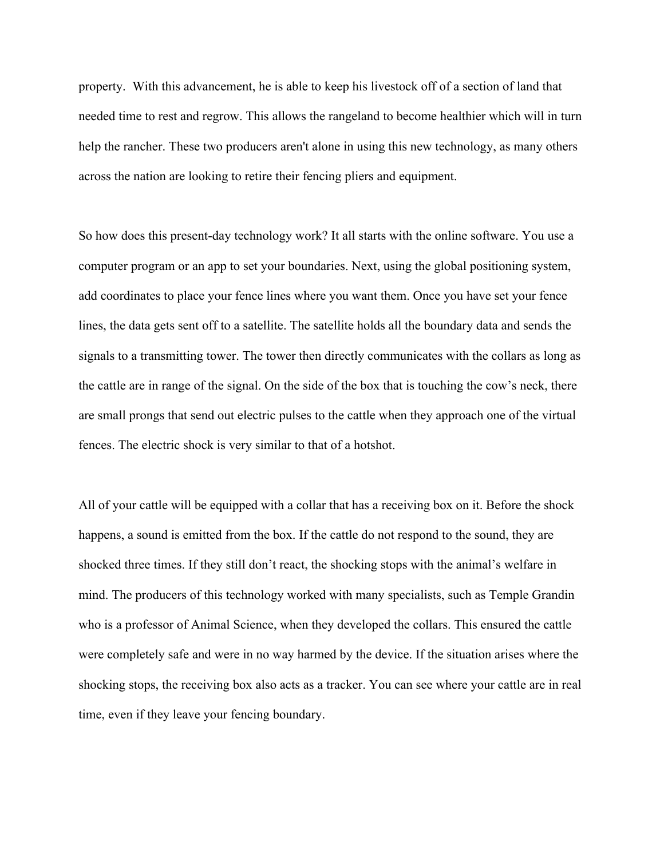property. With this advancement, he is able to keep his livestock off of a section of land that needed time to rest and regrow. This allows the rangeland to become healthier which will in turn help the rancher. These two producers aren't alone in using this new technology, as many others across the nation are looking to retire their fencing pliers and equipment.

So how does this present-day technology work? It all starts with the online software. You use a computer program or an app to set your boundaries. Next, using the global positioning system, add coordinates to place your fence lines where you want them. Once you have set your fence lines, the data gets sent off to a satellite. The satellite holds all the boundary data and sends the signals to a transmitting tower. The tower then directly communicates with the collars as long as the cattle are in range of the signal. On the side of the box that is touching the cow's neck, there are small prongs that send out electric pulses to the cattle when they approach one of the virtual fences. The electric shock is very similar to that of a hotshot.

All of your cattle will be equipped with a collar that has a receiving box on it. Before the shock happens, a sound is emitted from the box. If the cattle do not respond to the sound, they are shocked three times. If they still don't react, the shocking stops with the animal's welfare in mind. The producers of this technology worked with many specialists, such as Temple Grandin who is a professor of Animal Science, when they developed the collars. This ensured the cattle were completely safe and were in no way harmed by the device. If the situation arises where the shocking stops, the receiving box also acts as a tracker. You can see where your cattle are in real time, even if they leave your fencing boundary.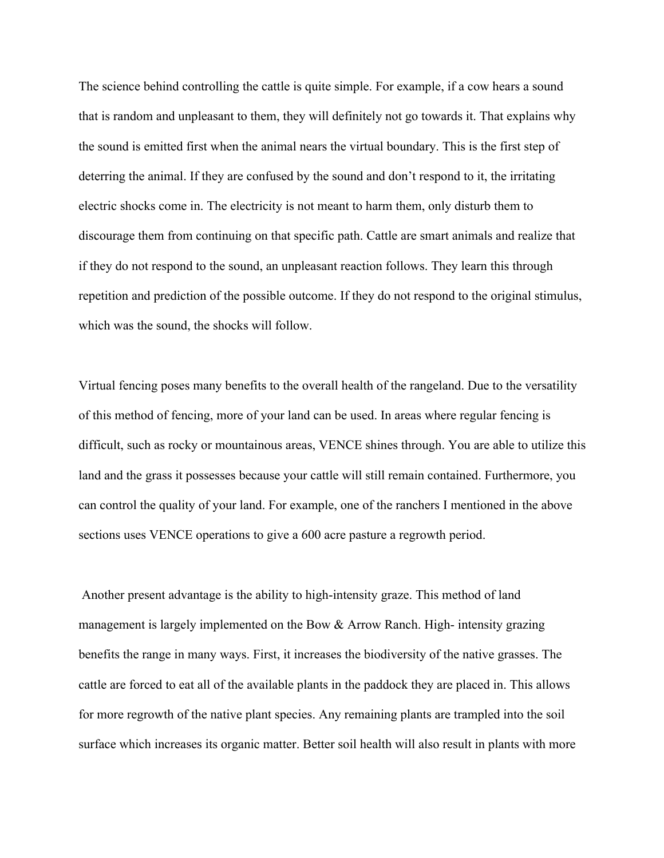The science behind controlling the cattle is quite simple. For example, if a cow hears a sound that is random and unpleasant to them, they will definitely not go towards it. That explains why the sound is emitted first when the animal nears the virtual boundary. This is the first step of deterring the animal. If they are confused by the sound and don't respond to it, the irritating electric shocks come in. The electricity is not meant to harm them, only disturb them to discourage them from continuing on that specific path. Cattle are smart animals and realize that if they do not respond to the sound, an unpleasant reaction follows. They learn this through repetition and prediction of the possible outcome. If they do not respond to the original stimulus, which was the sound, the shocks will follow.

Virtual fencing poses many benefits to the overall health of the rangeland. Due to the versatility of this method of fencing, more of your land can be used. In areas where regular fencing is difficult, such as rocky or mountainous areas, VENCE shines through. You are able to utilize this land and the grass it possesses because your cattle will still remain contained. Furthermore, you can control the quality of your land. For example, one of the ranchers I mentioned in the above sections uses VENCE operations to give a 600 acre pasture a regrowth period.

Another present advantage is the ability to high-intensity graze. This method of land management is largely implemented on the Bow & Arrow Ranch. High- intensity grazing benefits the range in many ways. First, it increases the biodiversity of the native grasses. The cattle are forced to eat all of the available plants in the paddock they are placed in. This allows for more regrowth of the native plant species. Any remaining plants are trampled into the soil surface which increases its organic matter. Better soil health will also result in plants with more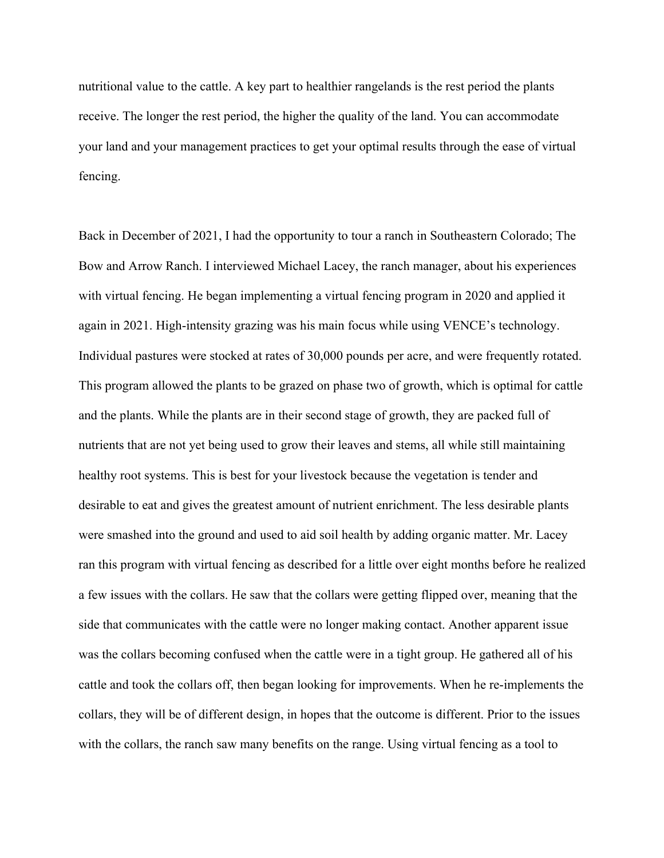nutritional value to the cattle. A key part to healthier rangelands is the rest period the plants receive. The longer the rest period, the higher the quality of the land. You can accommodate your land and your management practices to get your optimal results through the ease of virtual fencing.

Back in December of 2021, I had the opportunity to tour a ranch in Southeastern Colorado; The Bow and Arrow Ranch. I interviewed Michael Lacey, the ranch manager, about his experiences with virtual fencing. He began implementing a virtual fencing program in 2020 and applied it again in 2021. High-intensity grazing was his main focus while using VENCE's technology. Individual pastures were stocked at rates of 30,000 pounds per acre, and were frequently rotated. This program allowed the plants to be grazed on phase two of growth, which is optimal for cattle and the plants. While the plants are in their second stage of growth, they are packed full of nutrients that are not yet being used to grow their leaves and stems, all while still maintaining healthy root systems. This is best for your livestock because the vegetation is tender and desirable to eat and gives the greatest amount of nutrient enrichment. The less desirable plants were smashed into the ground and used to aid soil health by adding organic matter. Mr. Lacey ran this program with virtual fencing as described for a little over eight months before he realized a few issues with the collars. He saw that the collars were getting flipped over, meaning that the side that communicates with the cattle were no longer making contact. Another apparent issue was the collars becoming confused when the cattle were in a tight group. He gathered all of his cattle and took the collars off, then began looking for improvements. When he re-implements the collars, they will be of different design, in hopes that the outcome is different. Prior to the issues with the collars, the ranch saw many benefits on the range. Using virtual fencing as a tool to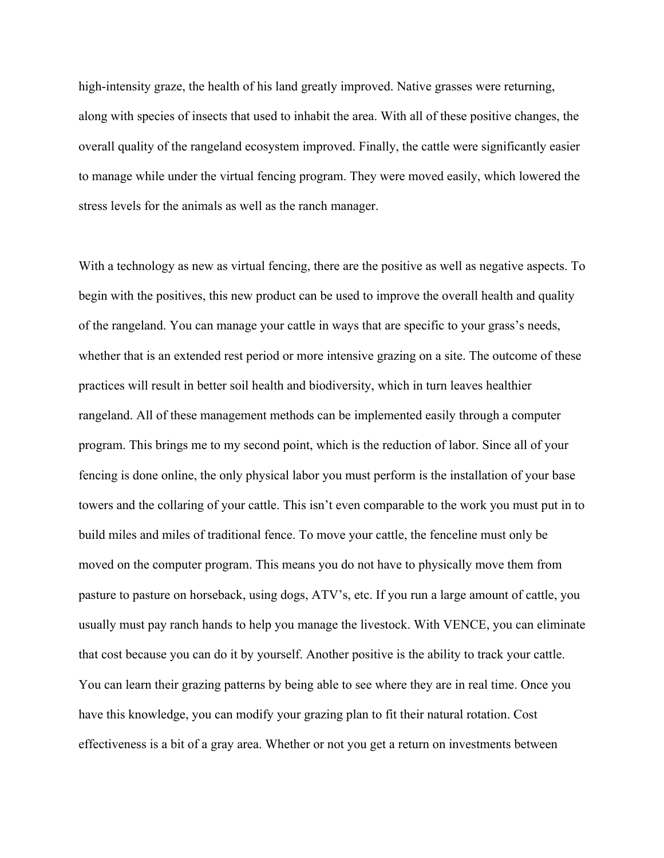high-intensity graze, the health of his land greatly improved. Native grasses were returning, along with species of insects that used to inhabit the area. With all of these positive changes, the overall quality of the rangeland ecosystem improved. Finally, the cattle were significantly easier to manage while under the virtual fencing program. They were moved easily, which lowered the stress levels for the animals as well as the ranch manager.

With a technology as new as virtual fencing, there are the positive as well as negative aspects. To begin with the positives, this new product can be used to improve the overall health and quality of the rangeland. You can manage your cattle in ways that are specific to your grass's needs, whether that is an extended rest period or more intensive grazing on a site. The outcome of these practices will result in better soil health and biodiversity, which in turn leaves healthier rangeland. All of these management methods can be implemented easily through a computer program. This brings me to my second point, which is the reduction of labor. Since all of your fencing is done online, the only physical labor you must perform is the installation of your base towers and the collaring of your cattle. This isn't even comparable to the work you must put in to build miles and miles of traditional fence. To move your cattle, the fenceline must only be moved on the computer program. This means you do not have to physically move them from pasture to pasture on horseback, using dogs, ATV's, etc. If you run a large amount of cattle, you usually must pay ranch hands to help you manage the livestock. With VENCE, you can eliminate that cost because you can do it by yourself. Another positive is the ability to track your cattle. You can learn their grazing patterns by being able to see where they are in real time. Once you have this knowledge, you can modify your grazing plan to fit their natural rotation. Cost effectiveness is a bit of a gray area. Whether or not you get a return on investments between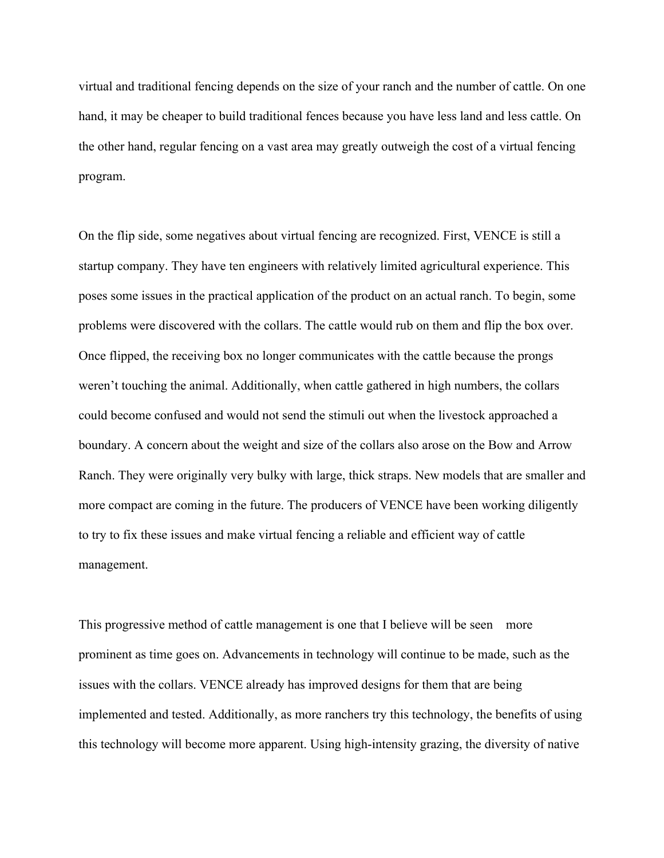virtual and traditional fencing depends on the size of your ranch and the number of cattle. On one hand, it may be cheaper to build traditional fences because you have less land and less cattle. On the other hand, regular fencing on a vast area may greatly outweigh the cost of a virtual fencing program.

On the flip side, some negatives about virtual fencing are recognized. First, VENCE is still a startup company. They have ten engineers with relatively limited agricultural experience. This poses some issues in the practical application of the product on an actual ranch. To begin, some problems were discovered with the collars. The cattle would rub on them and flip the box over. Once flipped, the receiving box no longer communicates with the cattle because the prongs weren't touching the animal. Additionally, when cattle gathered in high numbers, the collars could become confused and would not send the stimuli out when the livestock approached a boundary. A concern about the weight and size of the collars also arose on the Bow and Arrow Ranch. They were originally very bulky with large, thick straps. New models that are smaller and more compact are coming in the future. The producers of VENCE have been working diligently to try to fix these issues and make virtual fencing a reliable and efficient way of cattle management.

This progressive method of cattle management is one that I believe will be seen more prominent as time goes on. Advancements in technology will continue to be made, such as the issues with the collars. VENCE already has improved designs for them that are being implemented and tested. Additionally, as more ranchers try this technology, the benefits of using this technology will become more apparent. Using high-intensity grazing, the diversity of native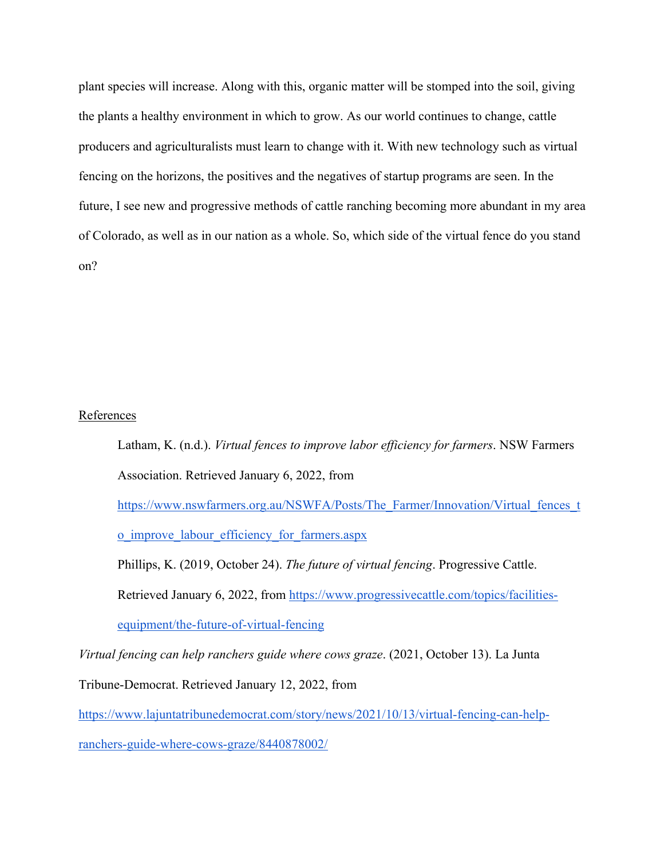plant species will increase. Along with this, organic matter will be stomped into the soil, giving the plants a healthy environment in which to grow. As our world continues to change, cattle producers and agriculturalists must learn to change with it. With new technology such as virtual fencing on the horizons, the positives and the negatives of startup programs are seen. In the future, I see new and progressive methods of cattle ranching becoming more abundant in my area of Colorado, as well as in our nation as a whole. So, which side of the virtual fence do you stand on?

## References

Latham, K. (n.d.). *Virtual fences to improve labor efficiency for farmers*. NSW Farmers Association. Retrieved January 6, 2022, from

https://www.nswfarmers.org.au/NSWFA/Posts/The\_Farmer/Innovation/Virtual\_fences\_t

o improve labour efficiency for farmers.aspx

Phillips, K. (2019, October 24). *The future of virtual fencing*. Progressive Cattle.

Retrieved January 6, 2022, from https://www.progressivecattle.com/topics/facilities-

equipment/the-future-of-virtual-fencing

*Virtual fencing can help ranchers guide where cows graze*. (2021, October 13). La Junta

Tribune-Democrat. Retrieved January 12, 2022, from

https://www.lajuntatribunedemocrat.com/story/news/2021/10/13/virtual-fencing-can-help-

ranchers-guide-where-cows-graze/8440878002/